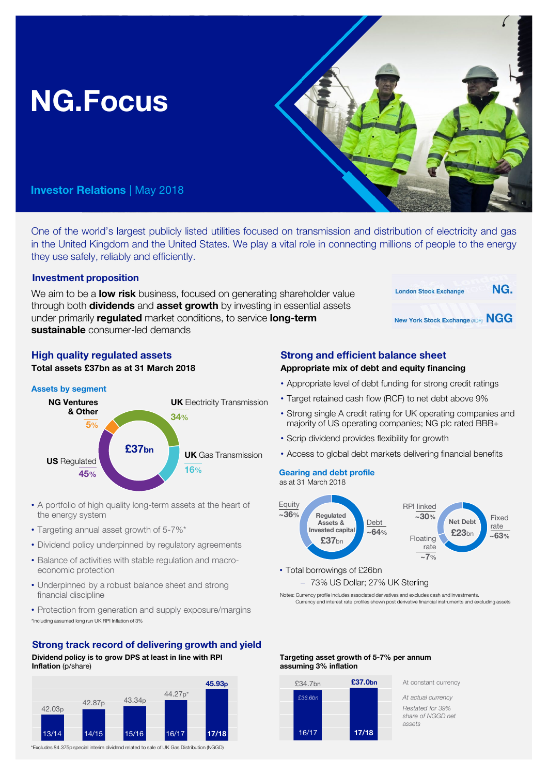# NG.Focus

# Investor Relations | May 2018

One of the world's largest publicly listed utilities focused on transmission and distribution of electricity and gas in the United Kingdom and the United States. We play a vital role in connecting millions of people to the energy they use safely, reliably and efficiently.

# Investment proposition

We aim to be a **low risk** business, focused on generating shareholder value through both **dividends** and **asset growth** by investing in essential assets under primarily **requiated** market conditions, to service **long-term** sustainable consumer-led demands

# High quality regulated assets

Total assets £37bn as at 31 March 2018

# Assets by segment



- A portfolio of high quality long-term assets at the heart of the energy system
- Targeting annual asset growth of 5-7%\*
- Dividend policy underpinned by regulatory agreements
- Balance of activities with stable regulation and macroeconomic protection
- Underpinned by a robust balance sheet and strong financial discipline
- \*Including assumed long run UK RPI Inflation of 3% • Protection from generation and supply exposure/margins

# Strong track record of delivering growth and yield

Dividend policy is to grow DPS at least in line with RPI Inflation (p/share)



\*Excludes 84.375p special interim dividend related to sale of UK Gas Distribution (NGGD)

# Strong and efficient balance sheet

- Appropriate mix of debt and equity financing
- Appropriate level of debt funding for strong credit ratings
- Target retained cash flow (RCF) to net debt above 9%
- Strong single A credit rating for UK operating companies and majority of US operating companies; NG plc rated BBB+

**London Stock Exchange** 

New York Stock Exchange (ADR) NGG

NG.

- Scrip dividend provides flexibility for growth
- Access to global debt markets delivering financial benefits

# Gearing and debt profile

as at 31 March 2018



• Total borrowings of £26bn – 73% US Dollar; 27% UK Sterling

Notes: Currency profile includes associated derivatives and excludes cash and investments. Currency and interest rate profiles shown post derivative financial instruments and excluding assets

### Targeting asset growth of 5-7% per annum assuming 3% inflation



£37.0bn At constant currency

*Restated for 39% share of NGGD net assets*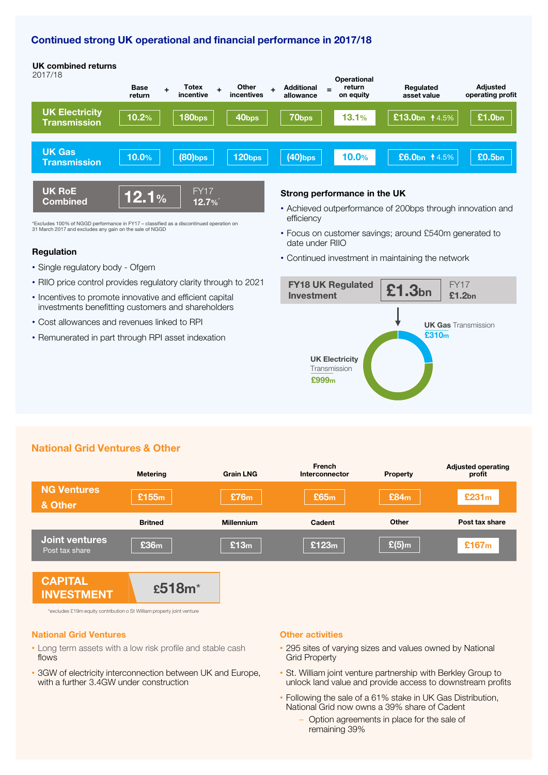# Continued strong UK operational and financial performance in 2017/18

12.7%\*

#### UK Electricity **Transmission** Base return **Totex** incentive Additional allowance UK combined returns **Other** incentives **Operational** return on equity Regulated asset value + Totex <sub>+</sub> Other <sub>+</sub> Additional <sub>=</sub> return + = Regulated + = Adjusted<br>+ incentive incentives allowance on equity + asset value + = operating profit  $10.2\%$  |  $|$  180bps |  $|$  40bps |  $|$  70bps |  $|$  13.1% |  $|$  £13.0bn  $14.5\%$  |  $|$  £1.0bn UK Gas **Transmission** 2017/18 UK RoE  $\frac{0.06 \text{ N}}{2.1\%}$ FY17  $\,$  10.0%  $\,$   $\,$   $\,$  (80)bps  $\,$   $\,$   $\,$  120bps  $\,$   $\,$   $\,$   $\,$  (40)bps  $\,$   $\,$   $\,$  10.0%  $\,$   $\,$   $\,$  £6.0bn 1 $\,$ 4.5%  $\,$   $\,$   $\,$  £0.5bn

\*Excludes 100% of NGGD performance in FY17 – classified as a discontinued operation on 31 March 2017 and excludes any gain on the sale of NGGD

#### Regulation

- Single regulatory body Ofgem
- RIIO price control provides regulatory clarity through to 2021
- Incentives to promote innovative and efficient capital investments benefitting customers and shareholders
- Cost allowances and revenues linked to RPI
- Remunerated in part through RPI asset indexation

#### Strong performance in the UK

• Achieved outperformance of 200bps through innovation and efficiency

Adjusted<br>operating profit

- Focus on customer savings; around £540m generated to date under RIIO
- Continued investment in maintaining the network



# National Grid Ventures & Other

|                                         | <b>Metering</b>   | <b>Grain LNG</b>  | French<br>Interconnector | <b>Property</b> | <b>Adjusted operating</b><br>profit |
|-----------------------------------------|-------------------|-------------------|--------------------------|-----------------|-------------------------------------|
| <b>NG Ventures</b><br>& Other           | £155 <sub>m</sub> | £76m              | £65m                     | £84m            | £231m                               |
|                                         | <b>Britned</b>    | <b>Millennium</b> | Cadent                   | Other           | Post tax share                      |
| <b>Joint ventures</b><br>Post tax share | £36m              | £13m              | £123m                    | $E(5)$ m        | £167m                               |
| <b>CAPITAL</b><br>INVESIMENI            | £518m*            |                   |                          |                 |                                     |

\*excludes £19m equity contribution o St William property joint venture

#### National Grid Ventures

- Long term assets with a low risk profile and stable cash flows
- 3GW of electricity interconnection between UK and Europe, with a further 3.4GW under construction

#### Other activities

- 295 sites of varying sizes and values owned by National Grid Property
- St. William joint venture partnership with Berkley Group to unlock land value and provide access to downstream profits
- Following the sale of a 61% stake in UK Gas Distribution, National Grid now owns a 39% share of Cadent
	- Option agreements in place for the sale of remaining 39%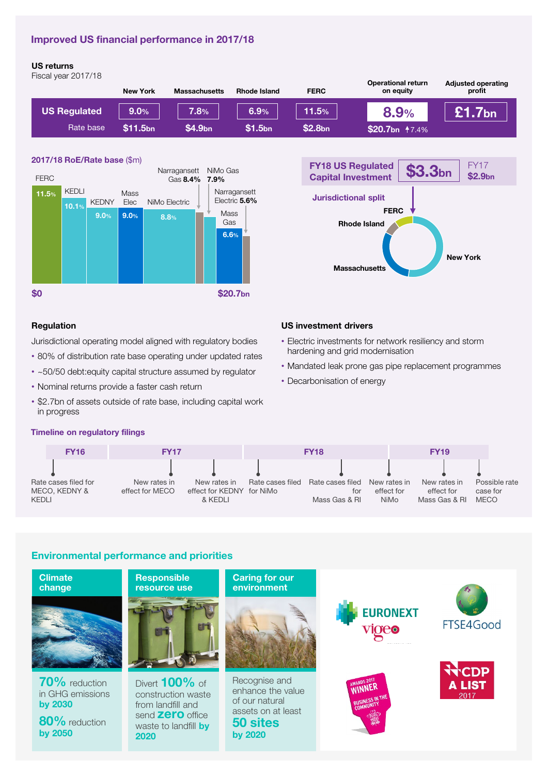# Improved US financial performance in 2017/18

### US returns

Fiscal year 2017/18

|                     | <b>New York</b> | <b>Massachusetts</b> | <b>Rhode Island</b> | <b>FERC</b>         | <b>Operational return</b><br>on equity | <b>Adjusted operating</b><br>profit |
|---------------------|-----------------|----------------------|---------------------|---------------------|----------------------------------------|-------------------------------------|
| <b>US Regulated</b> | $9.0\%$         | 7.8%                 | 6.9%                | 11.5%               | 8.9%                                   | 1.7bn $^{\dagger}$                  |
| Rate base           | \$11.5bn        | \$4.9bn              | \$1.5 <sub>bn</sub> | \$2.8 <sub>bn</sub> | \$20.7bn <b>†7.4%</b>                  |                                     |

#### 2017/18 RoE/Rate base (\$m)





#### Regulation

Jurisdictional operating model aligned with regulatory bodies

- 80% of distribution rate base operating under updated rates
- ~50/50 debt:equity capital structure assumed by regulator
- Nominal returns provide a faster cash return
- \$2.7bn of assets outside of rate base, including capital work in progress

# US investment drivers

- Electric investments for network resiliency and storm hardening and grid modernisation
- Mandated leak prone gas pipe replacement programmes
- Decarbonisation of energy

#### Timeline on regulatory filings



# Environmental performance and priorities